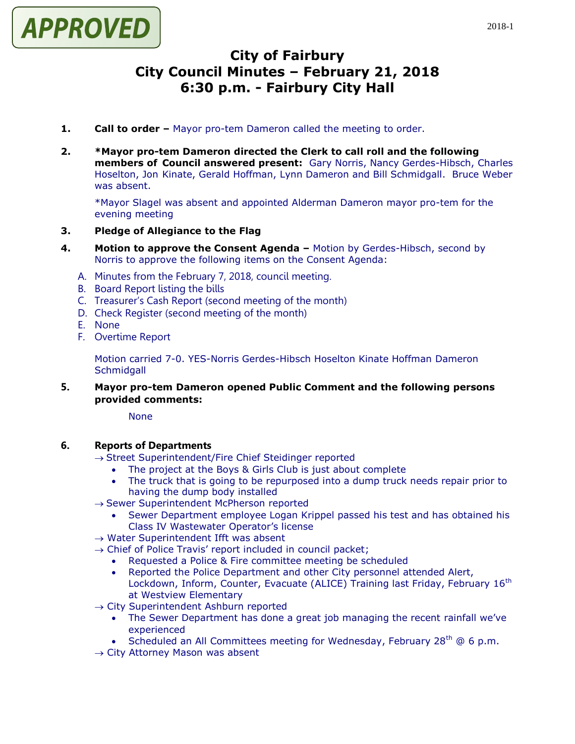

# **City of Fairbury City Council Minutes – February 21, 2018 6:30 p.m. - Fairbury City Hall**

- **1. Call to order –** Mayor pro-tem Dameron called the meeting to order.
- **2. \*Mayor pro-tem Dameron directed the Clerk to call roll and the following members of Council answered present:** Gary Norris, Nancy Gerdes-Hibsch, Charles Hoselton, Jon Kinate, Gerald Hoffman, Lynn Dameron and Bill Schmidgall. Bruce Weber was absent.

\*Mayor Slagel was absent and appointed Alderman Dameron mayor pro-tem for the evening meeting

# **3. Pledge of Allegiance to the Flag**

- **4. Motion to approve the Consent Agenda –** Motion by Gerdes-Hibsch, second by Norris to approve the following items on the Consent Agenda:
	- A. Minutes from the February 7, 2018, council meeting.
	- B. Board Report listing the bills
	- C. Treasurer's Cash Report (second meeting of the month)
	- D. Check Register (second meeting of the month)
	- E. None
	- F. Overtime Report

Motion carried 7-0. YES-Norris Gerdes-Hibsch Hoselton Kinate Hoffman Dameron **Schmidgall** 

**5. Mayor pro-tem Dameron opened Public Comment and the following persons provided comments:**

None

#### **6. Reports of Departments**

- $\rightarrow$  Street Superintendent/Fire Chief Steidinger reported
	- The project at the Boys & Girls Club is just about complete
	- The truck that is going to be repurposed into a dump truck needs repair prior to having the dump body installed
- $\rightarrow$  Sewer Superintendent McPherson reported
	- Sewer Department employee Logan Krippel passed his test and has obtained his Class IV Wastewater Operator's license
- $\rightarrow$  Water Superintendent Ifft was absent
- $\rightarrow$  Chief of Police Travis' report included in council packet;
	- Requested a Police & Fire committee meeting be scheduled
	- Reported the Police Department and other City personnel attended Alert, Lockdown, Inform, Counter, Evacuate (ALICE) Training last Friday, February 16<sup>th</sup> at Westview Elementary
- $\rightarrow$  City Superintendent Ashburn reported
	- The Sewer Department has done a great job managing the recent rainfall we've experienced
	- Scheduled an All Committees meeting for Wednesday, February  $28<sup>th</sup>$  @ 6 p.m.
- $\rightarrow$  City Attorney Mason was absent